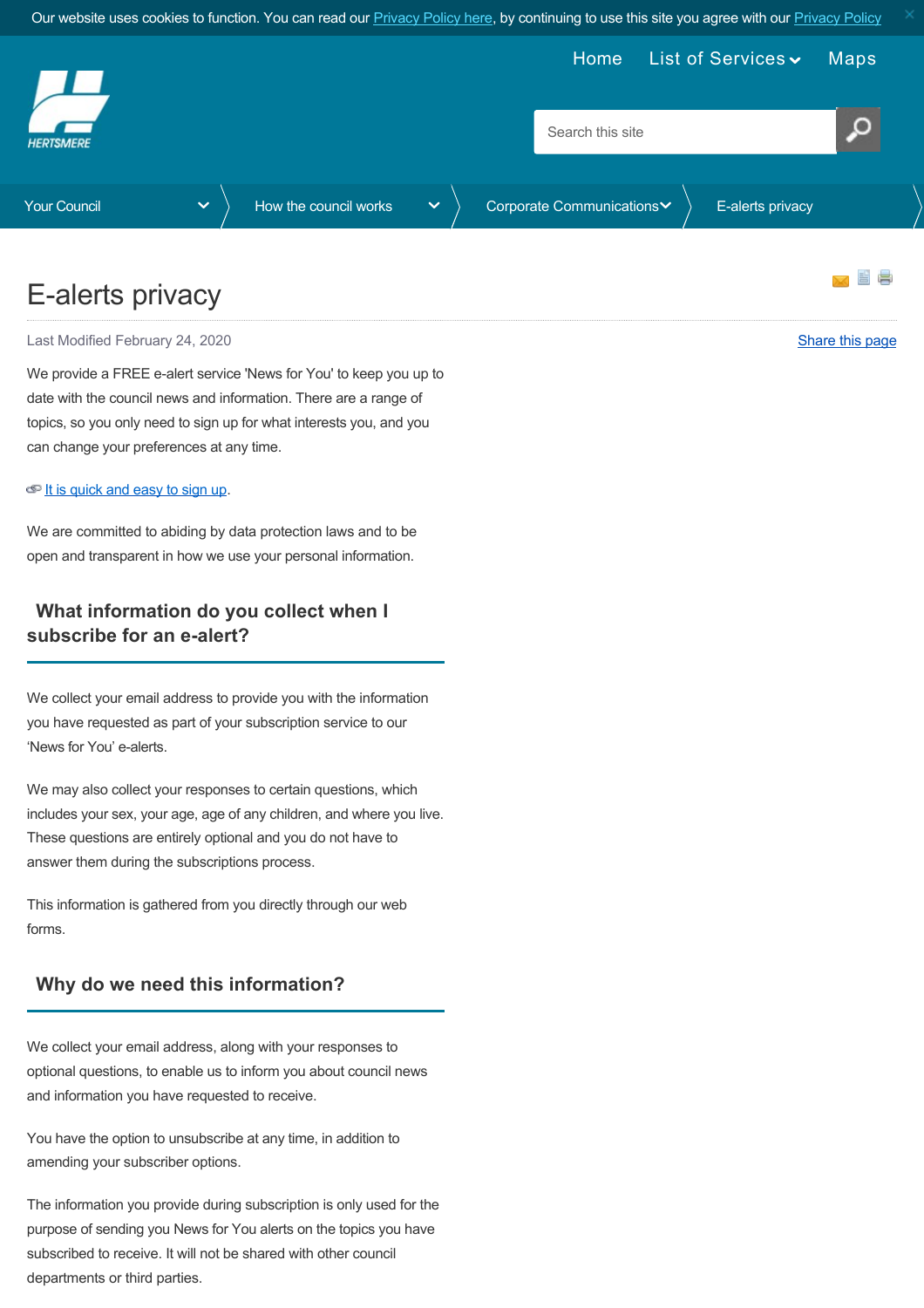Our website uses cookies to function. You can read our [Privacy Policy here](https://www.hertsmere.gov.uk/Privacy--Cookies.aspx), by continuing to use this site you agree with our [Privacy Policy](https://www.hertsmere.gov.uk/Privacy--Cookies.aspx)

<span id="page-0-0"></span>

# E-alerts privacy

Last Modified February 24, 2020 **[Share this page](http://www.addthis.com/bookmark.php?v=250&pubid=xa-502e5fd570edcb1e) 19th Control of the Share that are the state of the Share this page** 

We provide a FREE e-alert service 'News for You' to keep you up to date with the council news and information. There are a range of topics, so you only need to sign up for what interests you, and you can change your preferences at any time.

#### $\bigcirc$  [It is quick and easy to sign up](https://public.govdelivery.com/accounts/UKHBC/subscriber/new).

We are committed to abiding by data protection laws and to be open and transparent in how we use your personal information.

### **What information do you collect when I subscribe for an e-alert?**

We collect your email address to provide you with the information you have requested as part of your subscription service to our 'News for You' e-alerts.

We may also collect your responses to certain questions, which includes your sex, your age, age of any children, and where you live. These questions are entirely optional and you do not have to answer them during the subscriptions process.

This information is gathered from you directly through our web forms.

#### **Why do we need this information?**

We collect your email address, along with your responses to optional questions, to enable us to inform you about council news and information you have requested to receive.

You have the option to unsubscribe at any time, in addition to amending your subscriber options.

The information you provide during subscription is only used for the purpose of sending you News for You alerts on the topics you have subscribed to receive. It will not be shared with other council departments or third parties.